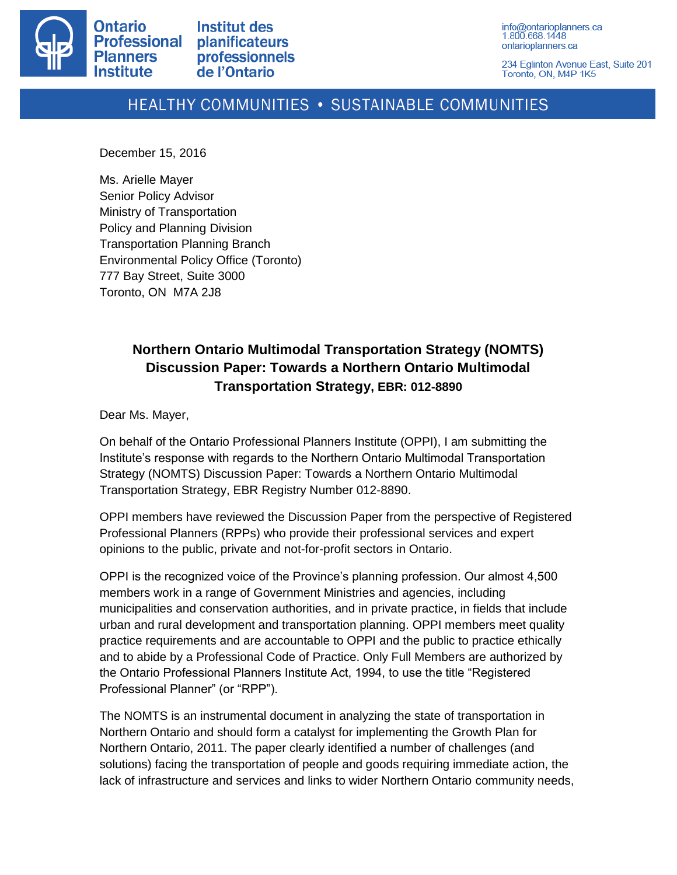

info@ontarioplanners.ca 1.800.668.1448 ontarioplanners.ca

234 Eglinton Avenue East, Suite 201 Toronto, ON, M4P 1K5

## HEALTHY COMMUNITIES . SUSTAINABLE COMMUNITIES

December 15, 2016

Ms. Arielle Mayer Senior Policy Advisor Ministry of Transportation Policy and Planning Division Transportation Planning Branch Environmental Policy Office (Toronto) 777 Bay Street, Suite 3000 Toronto, ON M7A 2J8

## **Northern Ontario Multimodal Transportation Strategy (NOMTS) Discussion Paper: Towards a Northern Ontario Multimodal Transportation Strategy, EBR: 012-8890**

Dear Ms. Mayer,

On behalf of the Ontario Professional Planners Institute (OPPI), I am submitting the Institute's response with regards to the Northern Ontario Multimodal Transportation Strategy (NOMTS) Discussion Paper: Towards a Northern Ontario Multimodal Transportation Strategy, EBR Registry Number 012-8890.

OPPI members have reviewed the Discussion Paper from the perspective of Registered Professional Planners (RPPs) who provide their professional services and expert opinions to the public, private and not-for-profit sectors in Ontario.

OPPI is the recognized voice of the Province's planning profession. Our almost 4,500 members work in a range of Government Ministries and agencies, including municipalities and conservation authorities, and in private practice, in fields that include urban and rural development and transportation planning. OPPI members meet quality practice requirements and are accountable to OPPI and the public to practice ethically and to abide by a Professional Code of Practice. Only Full Members are authorized by the Ontario Professional Planners Institute Act, 1994, to use the title "Registered Professional Planner" (or "RPP").

The NOMTS is an instrumental document in analyzing the state of transportation in Northern Ontario and should form a catalyst for implementing the Growth Plan for Northern Ontario, 2011. The paper clearly identified a number of challenges (and solutions) facing the transportation of people and goods requiring immediate action, the lack of infrastructure and services and links to wider Northern Ontario community needs,